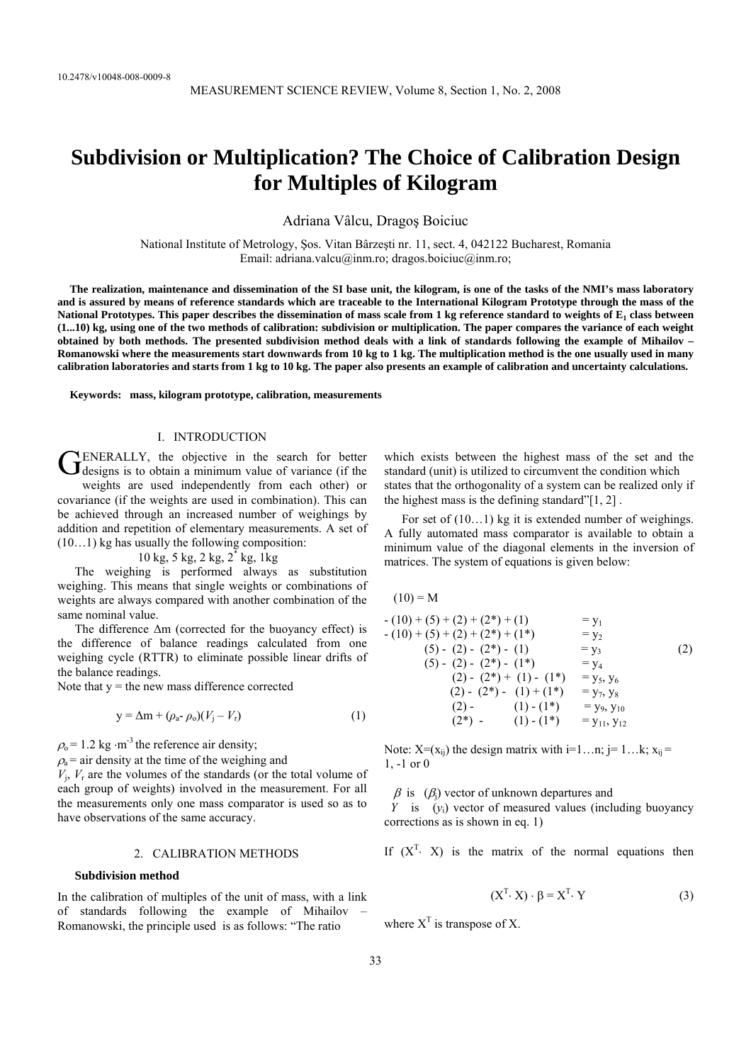# **Subdivision or Multiplication? The Choice of Calibration Design for Multiples of Kilogram**

Adriana Vâlcu, Dragoş Boiciuc

National Institute of Metrology, Şos. Vitan Bârzeşti nr. 11, sect. 4, 042122 Bucharest, Romania Email: adriana.valcu@inm.ro; dragos.boiciuc@inm.ro;

**The realization, maintenance and dissemination of the SI base unit, the kilogram, is one of the tasks of the NMI's mass laboratory and is assured by means of reference standards which are traceable to the International Kilogram Prototype through the mass of the**  National Prototypes. This paper describes the dissemination of mass scale from 1 kg reference standard to weights of E<sub>1</sub> class between **(1...10) kg, using one of the two methods of calibration: subdivision or multiplication. The paper compares the variance of each weight obtained by both methods. The presented subdivision method deals with a link of standards following the example of Mihailov – Romanowski where the measurements start downwards from 10 kg to 1 kg. The multiplication method is the one usually used in many calibration laboratories and starts from 1 kg to 10 kg. The paper also presents an example of calibration and uncertainty calculations.** 

**Keywords: mass, kilogram prototype, calibration, measurements** 

# I. INTRODUCTION

**ENERALLY**, the objective in the search for better GENERALLY, the objective in the search for better designs is to obtain a minimum value of variance (if the weights are used independently from each other) or covariance (if the weights are used in combination). This can be achieved through an increased number of weighings by addition and repetition of elementary measurements. A set of (10…1) kg has usually the following composition:

 $10 \text{ kg}, 5 \text{ kg}, 2 \text{ kg}, 2^* \text{ kg}, 1 \text{ kg}$ 

The weighing is performed always as substitution weighing. This means that single weights or combinations of weights are always compared with another combination of the same nominal value.

The difference ∆m (corrected for the buoyancy effect) is the difference of balance readings calculated from one weighing cycle (RTTR) to eliminate possible linear drifts of the balance readings.

Note that  $y =$  the new mass difference corrected

$$
y = \Delta m + (\rho_a - \rho_o)(V_j - V_r) \tag{1}
$$

 $\rho_0$  = 1.2 kg ⋅m<sup>-3</sup> the reference air density;

 $\rho_a$  = air density at the time of the weighing and

 $V_i$ ,  $V_r$  are the volumes of the standards (or the total volume of each group of weights) involved in the measurement. For all the measurements only one mass comparator is used so as to have observations of the same accuracy.

#### 2. CALIBRATION METHODS

## **Subdivision method**

In the calibration of multiples of the unit of mass, with a link of standards following the example of Mihailov – Romanowski, the principle used is as follows: "The ratio

which exists between the highest mass of the set and the standard (unit) is utilized to circumvent the condition which states that the orthogonality of a system can be realized only if the highest mass is the defining standard"[1, 2] .

For set of  $(10...1)$  kg it is extended number of weighings. A fully automated mass comparator is available to obtain a minimum value of the diagonal elements in the inversion of matrices. The system of equations is given below:

 $(10) = M$  $- (10) + (5) + (2) + (2^*) + (1) = y_1$  $- (10) + (5) + (2) + (2^*) + (1^*)$  = y<sub>2</sub> (5) - (2) - (2\*) - (1) = y<sub>3</sub> (2)<br>
(5) - (2) - (2\*) - (1\*) = y<sub>4</sub>  $(5) - (2) - (2^*) - (1^*)$  $(2) - (2^*) + (1) - (1^*) = y_5, y_6$ (2) - (2\*) - (1) + (1\*) =  $y_7, y_8$ (2) - (1) - (1\*) = y<sub>9</sub>, y<sub>10</sub>  $(2^*)$  -  $(1)$  -  $(1^*)$  =  $y_{11}$ ,  $y_{12}$ 

Note:  $X=(x_{ii})$  the design matrix with  $i=1...n$ ;  $j=1...k$ ;  $x_{ii} =$ 1, -1 or 0

 $β$  is ( $β$ ) vector of unknown departures and

*Y* is  $(y_i)$  vector of measured values (including buoyancy corrections as is shown in eq. 1)

If  $(X<sup>T</sup> \cdot X)$  is the matrix of the normal equations then

$$
(XT \cdot X) \cdot \beta = XT \cdot Y
$$
 (3)

where  $X<sup>T</sup>$  is transpose of X.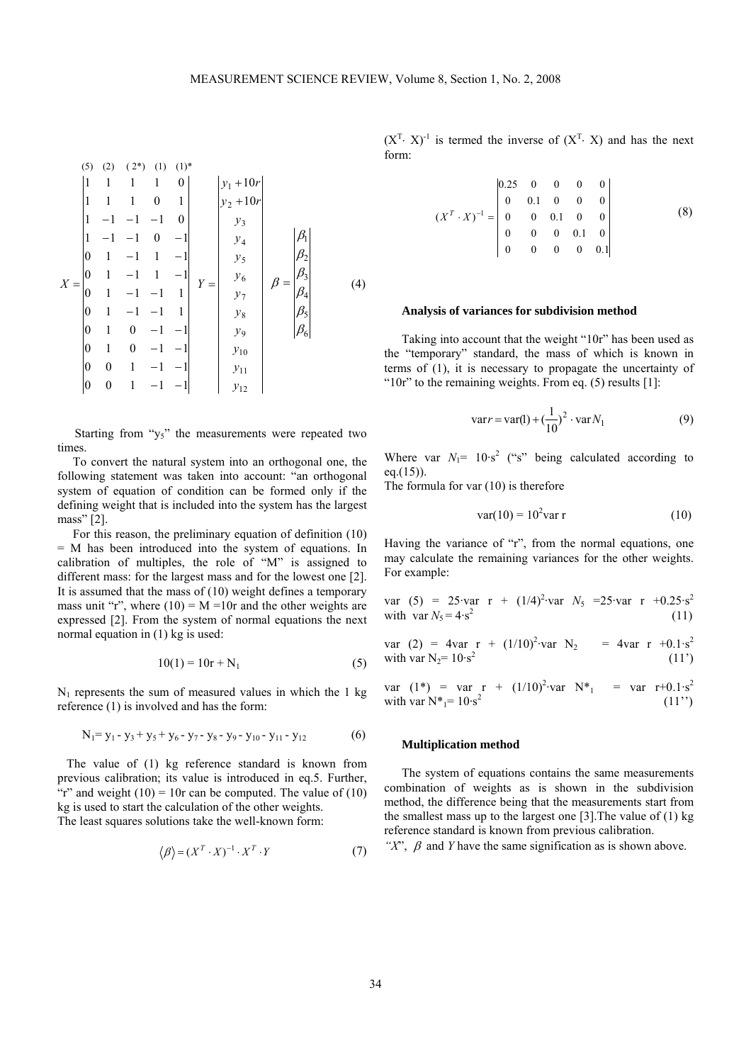(5) (2) (2<sup>\*</sup>) (1) (1)<sup>\*</sup>  
\n
$$
\begin{vmatrix}\n1 & 1 & 1 & 1 & 0 \\
1 & 1 & 1 & 0 & 1 \\
1 & -1 & -1 & -1 & 0 \\
0 & 1 & -1 & 1 & -1 \\
0 & 1 & -1 & -1 & 1\n\end{vmatrix}
$$
\n
$$
X = \begin{vmatrix}\n0 & 1 & -1 & 1 & -1 \\
0 & 1 & -1 & -1 & 1 \\
0 & 1 & 0 & -1 & -1 \\
0 & 1 & 0 & -1 & -1 \\
0 & 1 & 0 & -1 & -1\n\end{vmatrix}
$$
\n
$$
Y = \begin{vmatrix}\ny_1 + 10r \\
y_2 + 10r \\
y_3 \\
y_4 \\
y_5 \\
y_6 \\
y_7 \\
y_8 \\
y_9 \\
y_{10}
$$
\n
$$
\beta_5 \\
\beta_6 \\
\beta_7 \\
\beta_8 \\
\beta_9 \\
\beta_1 \\
\beta_2 \\
\beta_3 \\
\beta_4 \\
\beta_5 \\
\beta_6 \\
\beta_7 \\
\beta_8 \\
\beta_9 \\
\beta_1 \\
\beta_2 \\
\beta_3 \\
\beta_4 \\
\beta_5 \\
\beta_6 \\
\beta_7 \\
\beta_8 \\
\beta_9 \\
\beta_0 \\
\beta_1 \\
\beta_2 \\
\beta_3 \\
\beta_4 \\
\beta_5 \\
\beta_6 \\
\beta_7 \\
\beta_8 \\
\beta_9 \\
\beta_1 \\
\beta_2 \\
\beta_3 \\
\beta_4 \\
\beta_5 \\
\beta_6 \\
\beta_7 \\
\beta_8 \\
\beta_9 \\
\beta_1 \\
\beta_2 \\
\beta_3 \\
\beta_4 \\
\beta_5 \\
\beta_7 \\
\beta_8 \\
\beta_9 \\
\beta_1 \\
\beta_2 \\
\beta_3 \\
\beta_4 \\
\beta_5 \\
\beta_7 \\
\beta_8 \\
\beta_9 \\
\beta_0 \\
\beta_1 \\
\beta_2 \\
\beta_3 \\
\beta_4 \\
\beta_5 \\
\beta_7 \\
\beta_8 \\
\beta_9 \\
\beta_0 \\
\beta_1 \\
\beta_2 \\
\beta_3 \\
\beta_4 \\
\beta_5 \\
\beta_7 \\
\beta_8 \\
\beta_9 \\
\beta_0 \\
\beta_1 \\
\beta_2 \\
\beta_3 \\
\beta_4 \\
\beta_5 \\
\beta_7 \\
\beta_8 \\
\beta_9 \\
\beta_0 \\
\beta_1 \\
\beta_2 \\
\beta_3 \\
\beta_4 \\
\beta_5 \\
\beta_7 \\
\beta_8 \\
\beta_9 \\
\beta_0 \\
\beta_1 \\
\
$$

Starting from " $y_5$ " the measurements were repeated two times.

 To convert the natural system into an orthogonal one, the following statement was taken into account: "an orthogonal system of equation of condition can be formed only if the defining weight that is included into the system has the largest mass" [2].

 For this reason, the preliminary equation of definition (10) = M has been introduced into the system of equations. In calibration of multiples, the role of "M" is assigned to different mass: for the largest mass and for the lowest one [2]. It is assumed that the mass of (10) weight defines a temporary mass unit "r", where  $(10) = M = 10r$  and the other weights are expressed [2]. From the system of normal equations the next normal equation in (1) kg is used:

$$
10(1) = 10r + N_1
$$
 (5)

 $N_1$  represents the sum of measured values in which the 1 kg reference (1) is involved and has the form:

$$
N_1 = y_1 - y_3 + y_5 + y_6 - y_7 - y_8 - y_9 - y_{10} - y_{11} - y_{12}
$$
 (6)

 The value of (1) kg reference standard is known from previous calibration; its value is introduced in eq.5. Further, "r" and weight  $(10) = 10r$  can be computed. The value of  $(10)$ kg is used to start the calculation of the other weights. The least squares solutions take the well-known form:

$$
\langle \beta \rangle = (X^T \cdot X)^{-1} \cdot X^T \cdot Y \tag{7}
$$

 $(X<sup>T</sup>· X)<sup>-1</sup>$  is termed the inverse of  $(X<sup>T</sup>· X)$  and has the next form:

$$
(XT \cdot X)^{-1} = \begin{bmatrix} 0.25 & 0 & 0 & 0 & 0 \\ 0 & 0.1 & 0 & 0 & 0 \\ 0 & 0 & 0.1 & 0 & 0 \\ 0 & 0 & 0 & 0.1 & 0 \\ 0 & 0 & 0 & 0 & 0.1 \end{bmatrix}
$$
 (8)

#### **Analysis of variances for subdivision method**

Taking into account that the weight "10r" has been used as the "temporary" standard, the mass of which is known in terms of (1), it is necessary to propagate the uncertainty of " $10r$ " to the remaining weights. From eq. (5) results [1]:

$$
varr = var(1) + (\frac{1}{10})^2 \cdot var N_1
$$
 (9)

Where var  $N_1$ = 10·s<sup>2</sup> ("s" being calculated according to eq. $(15)$ ).

The formula for var (10) is therefore

$$
var(10) = 102 var r
$$
 (10)

Having the variance of "r", from the normal equations, one may calculate the remaining variances for the other weights. For example:

var (5) = 25·var r + 
$$
(1/4)^2
$$
·var N<sub>5</sub> =25·var r +0.25·s<sup>2</sup>  
with var N<sub>5</sub> =4·s<sup>2</sup> (11)

var (2) = 4var r + 
$$
(1/10)^2
$$
 var N<sub>2</sub> = 4var r +0.1·s<sup>2</sup>  
with var N<sub>2</sub>= 10·s<sup>2</sup> (11')

var  $(1^*)$  = var r +  $(1/10)^2$ ·var  $N^*$ <sub>1</sub> = var r+0.1·s<sup>2</sup> with var  $N^* = 10.5^2$  $(11")$ 

#### **Multiplication method**

The system of equations contains the same measurements combination of weights as is shown in the subdivision method, the difference being that the measurements start from the smallest mass up to the largest one [3].The value of (1) kg reference standard is known from previous calibration.

*"X*", β and *Y* have the same signification as is shown above.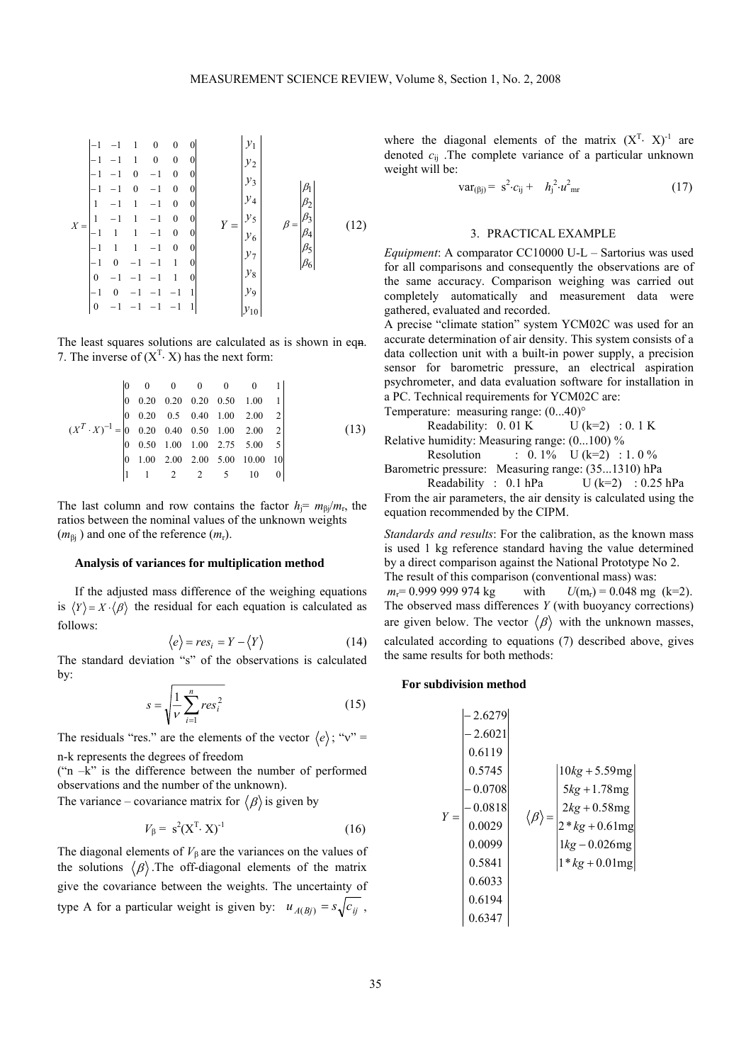$$
X = \begin{bmatrix}\n-1 & -1 & 1 & 0 & 0 & 0 \\
-1 & -1 & 1 & 0 & 0 & 0 \\
-1 & -1 & 0 & -1 & 0 & 0 \\
-1 & -1 & 1 & -1 & 0 & 0 \\
1 & -1 & 1 & -1 & 0 & 0 \\
-1 & 1 & 1 & -1 & 0 & 0 \\
-1 & 1 & 1 & -1 & 0 & 0 \\
-1 & 0 & -1 & -1 & -1 & 1 \\
0 & -1 & -1 & -1 & -1 & -1 & 1\n\end{bmatrix}\n\begin{aligned}\ny_1 \\
y_2 \\
y_3 \\
y_4 \\
y_5 \\
y_6 \\
y_7 \\
y_8 \\
y_8 \\
y_9 \\
y_9 \\
y_1 \\
y_0\n\end{aligned}
$$
\n
$$
\beta = \begin{bmatrix} \beta_1 \\ \beta_2 \\ \beta_3 \\ \beta_4 \\ \beta_5 \\ \beta_6 \\ \beta_6 \\ y_7 \\ y_9 \\
y_1 \\ y_0\n\end{bmatrix}
$$
\n(12)

The least squares solutions are calculated as is shown in eqn. 7. The inverse of  $(X<sup>T</sup>· X)$  has the next form:

$$
(XT \cdot X)-1 = \begin{bmatrix} 0 & 0 & 0 & 0 & 0 & 0 & 1 \\ 0 & 0.20 & 0.20 & 0.20 & 0.50 & 1.00 & 1 \\ 0 & 0.20 & 0.5 & 0.40 & 1.00 & 2.00 & 2 \\ 0 & 0.20 & 0.40 & 0.50 & 1.00 & 2.00 & 2 \\ 0 & 0.50 & 1.00 & 1.00 & 2.75 & 5.00 & 5 \\ 0 & 1.00 & 2.00 & 2.00 & 5.00 & 10.00 & 10 \\ 1 & 1 & 2 & 2 & 5 & 10 & 0 \end{bmatrix}
$$
(13)

The last column and row contains the factor  $h = m_{\beta}/m_r$ , the ratios between the nominal values of the unknown weights  $(m_{\beta i})$  and one of the reference  $(m_r)$ .

#### **Analysis of variances for multiplication method**

If the adjusted mass difference of the weighing equations is  $\langle Y \rangle = X \cdot \langle \beta \rangle$  the residual for each equation is calculated as follows:

$$
\langle e \rangle = res_i = Y - \langle Y \rangle \tag{14}
$$

The standard deviation "s" of the observations is calculated by:

$$
s = \sqrt{\frac{1}{V} \sum_{i=1}^{n} res_i^2}
$$
 (15)

The residuals "res." are the elements of the vector  $\langle e \rangle$ ; " $v$ " = n-k represents the degrees of freedom

("n –k" is the difference between the number of performed observations and the number of the unknown).

The variance – covariance matrix for  $\langle \beta \rangle$  is given by

$$
V_{\beta} = s^2 (X^T \cdot X)^{-1}
$$
 (16)

The diagonal elements of  $V_\beta$  are the variances on the values of the solutions  $\langle \beta \rangle$ . The off-diagonal elements of the matrix give the covariance between the weights. The uncertainty of type A for a particular weight is given by:  $u_{A(Bj)} = s\sqrt{c_{ij}}$ ,

where the diagonal elements of the matrix  $(X<sup>T</sup>· X)<sup>-1</sup>$  are denoted *c*ij .The complete variance of a particular unknown weight will be:

$$
var_{(\beta j)} = s^2 \cdot c_{ij} + h_j^2 \cdot u_{mr}^2
$$
 (17)

#### 3. PRACTICAL EXAMPLE

*Equipment*: A comparator CC10000 U-L – Sartorius was used for all comparisons and consequently the observations are of the same accuracy. Comparison weighing was carried out completely automatically and measurement data were gathered, evaluated and recorded.

A precise "climate station" system YCM02C was used for an accurate determination of air density. This system consists of a data collection unit with a built-in power supply, a precision sensor for barometric pressure, an electrical aspiration psychrometer, and data evaluation software for installation in a PC. Technical requirements for YCM02C are: Temperature: measuring range: (0...40)°

Readability:  $0.01 \text{ K}$  U (k=2) :  $0.1 \text{ K}$ Relative humidity: Measuring range: (0...100) %

Resolution :  $0.1\%$  U (k=2) : 1.0 % Barometric pressure: Measuring range: (35...1310) hPa

Readability :  $0.1$  hPa  $U (k=2)$  :  $0.25$  hPa From the air parameters, the air density is calculated using the equation recommended by the CIPM.

*Standards and results*: For the calibration, as the known mass is used 1 kg reference standard having the value determined by a direct comparison against the National Prototype No 2. The result of this comparison (conventional mass) was:  $m_r = 0.9999999974 \text{ kg}$  with  $U(m_r) = 0.048 \text{ mg}$  (k=2). The observed mass differences *Y* (with buoyancy corrections) are given below. The vector  $\langle \beta \rangle$  with the unknown masses, calculated according to equations (7) described above, gives the same results for both methods:

## **For subdivision method**

$$
Y = \begin{bmatrix} -2.6279 \\ -2.6021 \\ 0.6119 \\ -0.0708 \\ -0.0818 \\ 0.0029 \\ 0.5841 \\ 0.6033 \\ 0.6194 \\ 0.6347 \end{bmatrix} \quad \langle \beta \rangle = \begin{bmatrix} 10kg + 5.59mg \\ 5kg + 1.78mg \\ 2kg + 0.58mg \\ 2*kg + 0.58mg \\ 1*kg + 0.01mg \\ 1*kg + 0.01mg \end{bmatrix}
$$